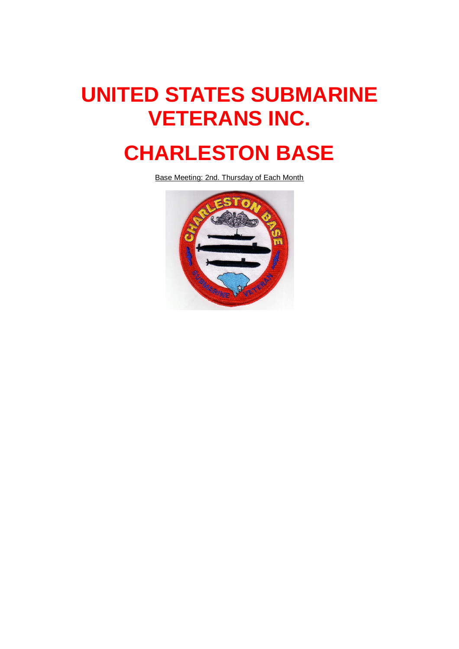# **UNITED STATES SUBMARINE VETERANS INC.**

## **CHARLESTON BASE**

Base Meeting: 2nd. Thursday of Each Month

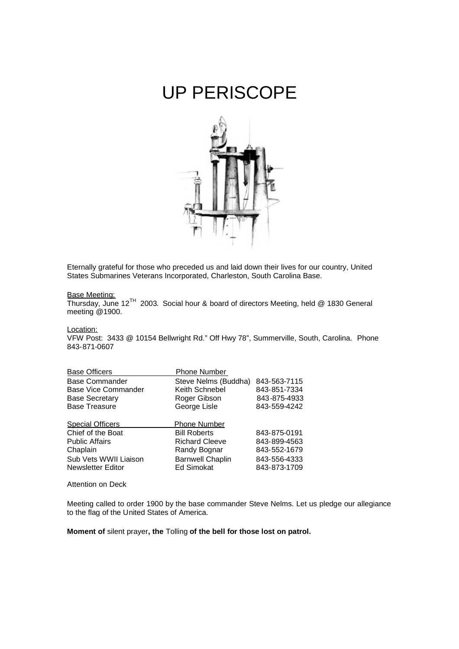### UP PERISCOPE



Eternally grateful for those who preceded us and laid down their lives for our country, United States Submarines Veterans Incorporated, Charleston, South Carolina Base.

#### Base Meeting:

Thursday, June 12TH 2003. Social hour & board of directors Meeting, held @ 1830 General meeting @1900.

Location:

VFW Post: 3433 @ 10154 Bellwright Rd." Off Hwy 78", Summerville, South, Carolina. Phone 843-871-0607

| <b>Base Officers</b>       | <b>Phone Number</b>     |              |
|----------------------------|-------------------------|--------------|
| <b>Base Commander</b>      | Steve Nelms (Buddha)    | 843-563-7115 |
| <b>Base Vice Commander</b> | Keith Schnebel          | 843-851-7334 |
| <b>Base Secretary</b>      | Roger Gibson            | 843-875-4933 |
| <b>Base Treasure</b>       | George Lisle            | 843-559-4242 |
|                            |                         |              |
|                            |                         |              |
| <b>Special Officers</b>    | <b>Phone Number</b>     |              |
| Chief of the Boat          | <b>Bill Roberts</b>     | 843-875-0191 |
| <b>Public Affairs</b>      | <b>Richard Cleeve</b>   | 843-899-4563 |
| Chaplain                   | Randy Bognar            | 843-552-1679 |
| Sub Vets WWII Liaison      | <b>Barnwell Chaplin</b> | 843-556-4333 |
| <b>Newsletter Editor</b>   | <b>Ed Simokat</b>       | 843-873-1709 |

Attention on Deck

Meeting called to order 1900 by the base commander Steve Nelms. Let us pledge our allegiance to the flag of the United States of America.

**Moment of** silent prayer**, the** Tolling **of the bell for those lost on patrol.**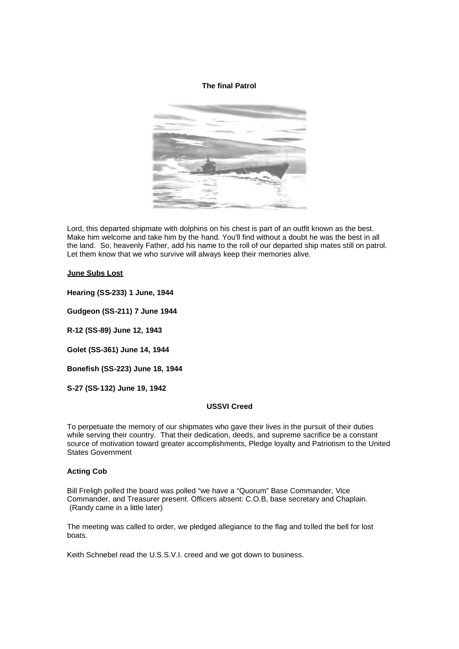#### **The final Patrol**



Lord, this departed shipmate with dolphins on his chest is part of an outfit known as the best. Make him welcome and take him by the hand. You'll find without a doubt he was the best in all the land. So, heavenly Father, add his name to the roll of our departed ship mates still on patrol. Let them know that we who survive will always keep their memories alive.

#### **June Subs Lost**

**Hearing (SS-233) 1 June, 1944**

**Gudgeon (SS-211) 7 June 1944**

**R-12 (SS-89) June 12, 1943**

**Golet (SS-361) June 14, 1944**

**Bonefish (SS-223) June 18, 1944**

**S-27 (SS-132) June 19, 1942**

#### **USSVI Creed**

To perpetuate the memory of our shipmates who gave their lives in the pursuit of their duties while serving their country. That their dedication, deeds, and supreme sacrifice be a constant source of motivation toward greater accomplishments, Pledge loyalty and Patriotism to the United States Government

#### **Acting Cob**

Bill Freligh polled the board was polled "we have a "Quorum" Base Commander, Vice Commander, and Treasurer present. Officers absent: C.O.B, base secretary and Chaplain. (Randy came in a little later)

The meeting was called to order, we pledged allegiance to the flag and tolled the bell for lost boats.

Keith Schnebel read the U.S.S.V.I. creed and we got down to business.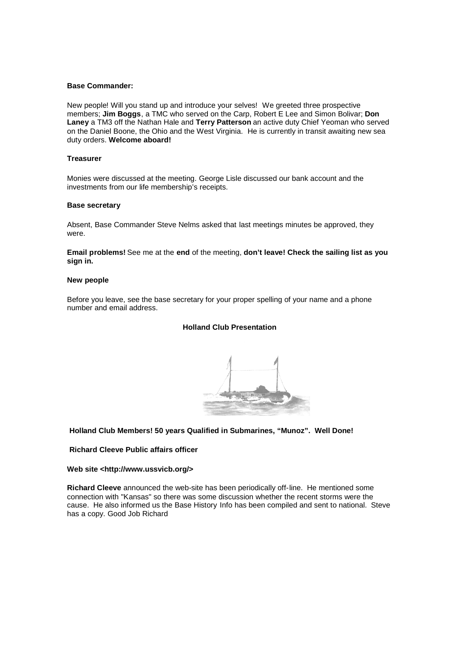#### **Base Commander:**

New people! Will you stand up and introduce your selves! We greeted three prospective members; **Jim Boggs**, a TMC who served on the Carp, Robert E Lee and Simon Bolivar; **Don Laney** a TM3 off the Nathan Hale and **Terry Patterson** an active duty Chief Yeoman who served on the Daniel Boone, the Ohio and the West Virginia. He is currently in transit awaiting new sea duty orders. **Welcome aboard!**

#### **Treasurer**

Monies were discussed at the meeting. George Lisle discussed our bank account and the investments from our life membership's receipts.

#### **Base secretary**

Absent, Base Commander Steve Nelms asked that last meetings minutes be approved, they were.

**Email problems!** See me at the **end** of the meeting, **don't leave! Check the sailing list as you sign in.**

#### **New people**

Before you leave, see the base secretary for your proper spelling of your name and a phone number and email address.

#### **Holland Club Presentation**



#### **Holland Club Members! 50 years Qualified in Submarines, "Munoz". Well Done!**

#### **Richard Cleeve Public affairs officer**

**Web site <http://www.ussvicb.org/>**

**Richard Cleeve** announced the web-site has been periodically off-line. He mentioned some connection with "Kansas" so there was some discussion whether the recent storms were the cause. He also informed us the Base History Info has been compiled and sent to national. Steve has a copy. Good Job Richard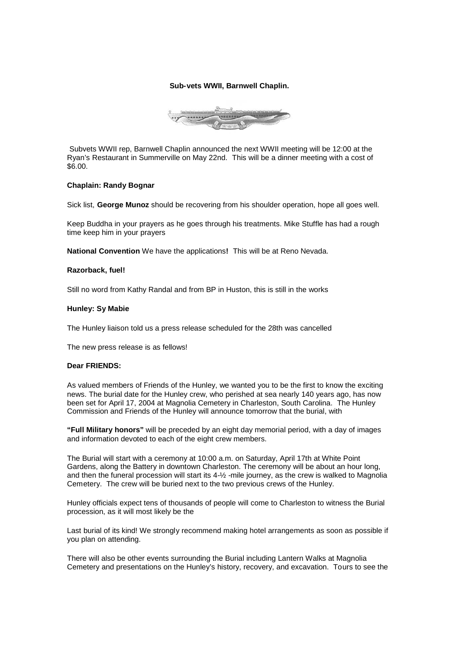#### **Sub-vets WWII, Barnwell Chaplin.**



Subvets WWII rep, Barnwell Chaplin announced the next WWII meeting will be 12:00 at the Ryan's Restaurant in Summerville on May 22nd. This will be a dinner meeting with a cost of \$6.00.

#### **Chaplain: Randy Bognar**

Sick list, **George Munoz** should be recovering from his shoulder operation, hope all goes well.

Keep Buddha in your prayers as he goes through his treatments. Mike Stuffle has had a rough time keep him in your prayers

**National Convention** We have the applications**!** This will be at Reno Nevada.

#### **Razorback, fuel!**

Still no word from Kathy Randal and from BP in Huston, this is still in the works

#### **Hunley: Sy Mabie**

The Hunley liaison told us a press release scheduled for the 28th was cancelled

The new press release is as fellows!

#### **Dear FRIENDS:**

As valued members of Friends of the Hunley, we wanted you to be the first to know the exciting news. The burial date for the Hunley crew, who perished at sea nearly 140 years ago, has now been set for April 17, 2004 at Magnolia Cemetery in Charleston, South Carolina. The Hunley Commission and Friends of the Hunley will announce tomorrow that the burial, with

**"Full Military honors"** will be preceded by an eight day memorial period, with a day of images and information devoted to each of the eight crew members.

The Burial will start with a ceremony at 10:00 a.m. on Saturday, April 17th at White Point Gardens, along the Battery in downtown Charleston. The ceremony will be about an hour long, and then the funeral procession will start its 4-½ -mile journey, as the crew is walked to Magnolia Cemetery. The crew will be buried next to the two previous crews of the Hunley.

Hunley officials expect tens of thousands of people will come to Charleston to witness the Burial procession, as it will most likely be the

Last burial of its kind! We strongly recommend making hotel arrangements as soon as possible if you plan on attending.

There will also be other events surrounding the Burial including Lantern Walks at Magnolia Cemetery and presentations on the Hunley's history, recovery, and excavation. Tours to see the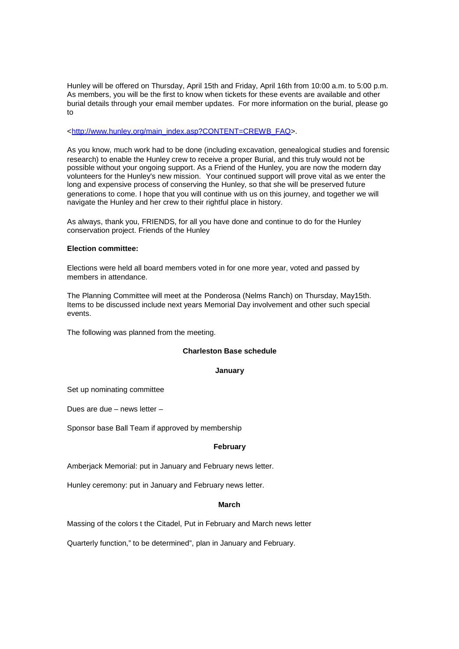Hunley will be offered on Thursday, April 15th and Friday, April 16th from 10:00 a.m. to 5:00 p.m. As members, you will be the first to know when tickets for these events are available and other burial details through your email member updates. For more information on the burial, please go to

<http://www.hunley.org/main\_index.asp?CONTENT=CREWB\_FAQ>.

As you know, much work had to be done (including excavation, genealogical studies and forensic research) to enable the Hunley crew to receive a proper Burial, and this truly would not be possible without your ongoing support. As a Friend of the Hunley, you are now the modern day volunteers for the Hunley's new mission. Your continued support will prove vital as we enter the long and expensive process of conserving the Hunley, so that she will be preserved future generations to come. I hope that you will continue with us on this journey, and together we will navigate the Hunley and her crew to their rightful place in history.

As always, thank you, FRIENDS, for all you have done and continue to do for the Hunley conservation project. Friends of the Hunley

#### **Election committee:**

Elections were held all board members voted in for one more year, voted and passed by members in attendance.

The Planning Committee will meet at the Ponderosa (Nelms Ranch) on Thursday, May15th. Items to be discussed include next years Memorial Day involvement and other such special events.

The following was planned from the meeting.

#### **Charleston Base schedule**

#### **January**

Set up nominating committee

Dues are due – news letter –

Sponsor base Ball Team if approved by membership

#### **February**

Amberjack Memorial: put in January and February news letter.

Hunley ceremony: put in January and February news letter.

#### **March**

Massing of the colors t the Citadel, Put in February and March news letter

Quarterly function," to be determined", plan in January and February.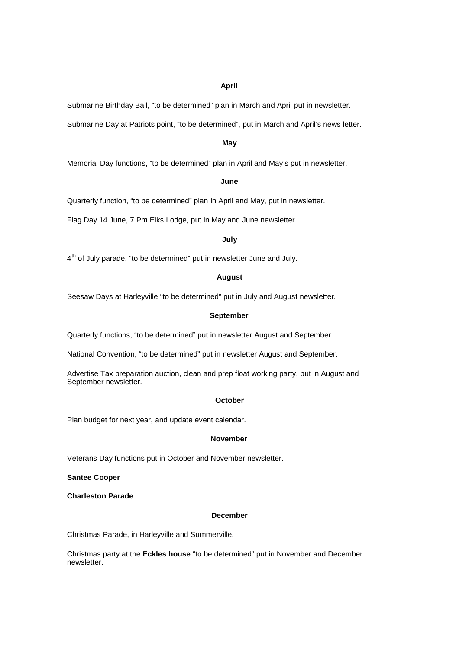#### **April**

Submarine Birthday Ball, "to be determined" plan in March and April put in newsletter.

Submarine Day at Patriots point, "to be determined", put in March and April's news letter.

#### **May**

Memorial Day functions, "to be determined" plan in April and May's put in newsletter.

#### **June**

Quarterly function, "to be determined" plan in April and May, put in newsletter.

Flag Day 14 June, 7 Pm Elks Lodge, put in May and June newsletter.

#### **July**

4<sup>th</sup> of July parade, "to be determined" put in newsletter June and July.

#### **August**

Seesaw Days at Harleyville "to be determined" put in July and August newsletter.

#### **September**

Quarterly functions, "to be determined" put in newsletter August and September.

National Convention, "to be determined" put in newsletter August and September.

Advertise Tax preparation auction, clean and prep float working party, put in August and September newsletter.

#### **October**

Plan budget for next year, and update event calendar.

#### **November**

Veterans Day functions put in October and November newsletter.

**Santee Cooper**

**Charleston Parade**

#### **December**

Christmas Parade, in Harleyville and Summerville.

Christmas party at the **Eckles house** "to be determined" put in November and December newsletter.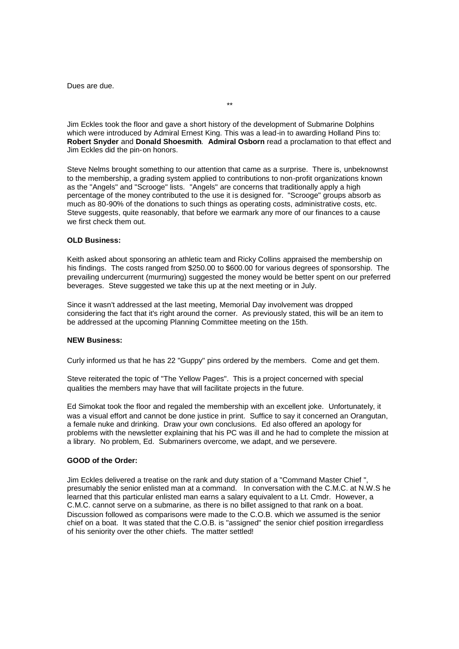Dues are due.

Jim Eckles took the floor and gave a short history of the development of Submarine Dolphins which were introduced by Admiral Ernest King. This was a lead-in to awarding Holland Pins to: **Robert Snyder** and **Donald Shoesmith**. **Admiral Osborn** read a proclamation to that effect and Jim Eckles did the pin-on honors.

\*\*

Steve Nelms brought something to our attention that came as a surprise. There is, unbeknownst to the membership, a grading system applied to contributions to non-profit organizations known as the "Angels" and "Scrooge" lists. "Angels" are concerns that traditionally apply a high percentage of the money contributed to the use it is designed for. "Scrooge" groups absorb as much as 80-90% of the donations to such things as operating costs, administrative costs, etc. Steve suggests, quite reasonably, that before we earmark any more of our finances to a cause we first check them out.

#### **OLD Business:**

Keith asked about sponsoring an athletic team and Ricky Collins appraised the membership on his findings. The costs ranged from \$250.00 to \$600.00 for various degrees of sponsorship. The prevailing undercurrent (murmuring) suggested the money would be better spent on our preferred beverages. Steve suggested we take this up at the next meeting or in July.

Since it wasn't addressed at the last meeting, Memorial Day involvement was dropped considering the fact that it's right around the corner. As previously stated, this will be an item to be addressed at the upcoming Planning Committee meeting on the 15th.

#### **NEW Business:**

Curly informed us that he has 22 "Guppy" pins ordered by the members. Come and get them.

Steve reiterated the topic of "The Yellow Pages". This is a project concerned with special qualities the members may have that will facilitate projects in the future.

Ed Simokat took the floor and regaled the membership with an excellent joke. Unfortunately, it was a visual effort and cannot be done justice in print. Suffice to say it concerned an Orangutan, a female nuke and drinking. Draw your own conclusions. Ed also offered an apology for problems with the newsletter explaining that his PC was ill and he had to complete the mission at a library. No problem, Ed. Submariners overcome, we adapt, and we persevere.

#### **GOOD of the Order:**

Jim Eckles delivered a treatise on the rank and duty station of a "Command Master Chief ", presumably the senior enlisted man at a command. In conversation with the C.M.C. at N.W.S he learned that this particular enlisted man earns a salary equivalent to a Lt. Cmdr. However, a C.M.C. cannot serve on a submarine, as there is no billet assigned to that rank on a boat. Discussion followed as comparisons were made to the C.O.B. which we assumed is the senior chief on a boat. It was stated that the C.O.B. is "assigned" the senior chief position irregardless of his seniority over the other chiefs. The matter settled!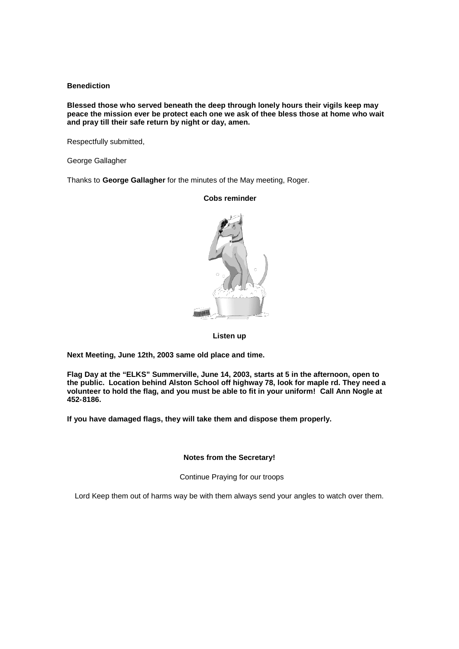#### **Benediction**

**Blessed those who served beneath the deep through lonely hours their vigils keep may peace the mission ever be protect each one we ask of thee bless those at home who wait and pray till their safe return by night or day, amen.**

Respectfully submitted,

George Gallagher

Thanks to **George Gallagher** for the minutes of the May meeting, Roger.

**Cobs reminder**

#### **Listen up**

**Next Meeting, June 12th, 2003 same old place and time.**

**Flag Day at the "ELKS" Summerville, June 14, 2003, starts at 5 in the afternoon, open to the public. Location behind Alston School off highway 78, look for maple rd. They need a volunteer to hold the flag, and you must be able to fit in your uniform! Call Ann Nogle at 452-8186.**

**If you have damaged flags, they will take them and dispose them properly.**

**Notes from the Secretary!**

Continue Praying for our troops

Lord Keep them out of harms way be with them always send your angles to watch over them.